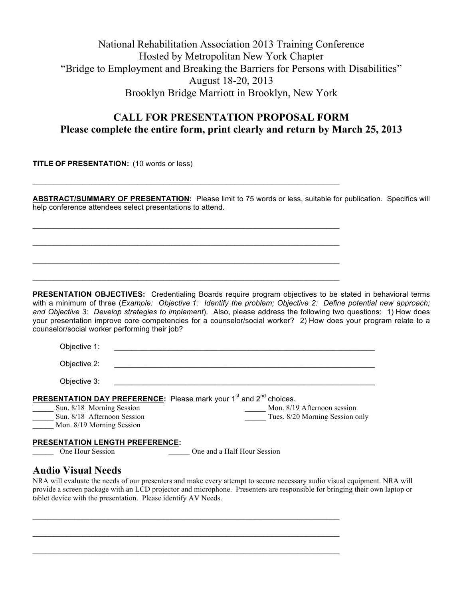# National Rehabilitation Association 2013 Training Conference Hosted by Metropolitan New York Chapter "Bridge to Employment and Breaking the Barriers for Persons with Disabilities" August 18-20, 2013 Brooklyn Bridge Marriott in Brooklyn, New York

### **CALL FOR PRESENTATION PROPOSAL FORM Please complete the entire form, print clearly and return by March 25, 2013**

**TITLE OF PRESENTATION:** (10 words or less)

**ABSTRACT/SUMMARY OF PRESENTATION:** Please limit to 75 words or less, suitable for publication. Specifics will help conference attendees select presentations to attend.

 $\mathcal{L}_\text{max}$  and  $\mathcal{L}_\text{max}$  and  $\mathcal{L}_\text{max}$  and  $\mathcal{L}_\text{max}$  and  $\mathcal{L}_\text{max}$  and  $\mathcal{L}_\text{max}$ 

 $\mathcal{L}_\text{max}$  and  $\mathcal{L}_\text{max}$  and  $\mathcal{L}_\text{max}$  and  $\mathcal{L}_\text{max}$  and  $\mathcal{L}_\text{max}$  and  $\mathcal{L}_\text{max}$ 

 $\mathcal{L}_\mathcal{L} = \mathcal{L}_\mathcal{L} = \mathcal{L}_\mathcal{L} = \mathcal{L}_\mathcal{L} = \mathcal{L}_\mathcal{L} = \mathcal{L}_\mathcal{L} = \mathcal{L}_\mathcal{L} = \mathcal{L}_\mathcal{L} = \mathcal{L}_\mathcal{L} = \mathcal{L}_\mathcal{L} = \mathcal{L}_\mathcal{L} = \mathcal{L}_\mathcal{L} = \mathcal{L}_\mathcal{L} = \mathcal{L}_\mathcal{L} = \mathcal{L}_\mathcal{L} = \mathcal{L}_\mathcal{L} = \mathcal{L}_\mathcal{L}$ 

 $\mathcal{L}_\text{max}$  and  $\mathcal{L}_\text{max}$  and  $\mathcal{L}_\text{max}$  and  $\mathcal{L}_\text{max}$  and  $\mathcal{L}_\text{max}$  and  $\mathcal{L}_\text{max}$ 

 $\mathcal{L}_\mathcal{L} = \mathcal{L}_\mathcal{L} = \mathcal{L}_\mathcal{L} = \mathcal{L}_\mathcal{L} = \mathcal{L}_\mathcal{L} = \mathcal{L}_\mathcal{L} = \mathcal{L}_\mathcal{L} = \mathcal{L}_\mathcal{L} = \mathcal{L}_\mathcal{L} = \mathcal{L}_\mathcal{L} = \mathcal{L}_\mathcal{L} = \mathcal{L}_\mathcal{L} = \mathcal{L}_\mathcal{L} = \mathcal{L}_\mathcal{L} = \mathcal{L}_\mathcal{L} = \mathcal{L}_\mathcal{L} = \mathcal{L}_\mathcal{L}$ 

**PRESENTATION OBJECTIVES:** Credentialing Boards require program objectives to be stated in behavioral terms with a minimum of three (*Example: Objective 1: Identify the problem; Objective 2: Define potential new approach; and Objective 3: Develop strategies to implement*). Also, please address the following two questions: 1) How does your presentation improve core competencies for a counselor/social worker? 2) How does your program relate to a counselor/social worker performing their job?

| Objective 1:                                                                                                                                                  |                                                                |
|---------------------------------------------------------------------------------------------------------------------------------------------------------------|----------------------------------------------------------------|
| Objective 2:                                                                                                                                                  |                                                                |
| Objective 3:                                                                                                                                                  |                                                                |
| <b>PRESENTATION DAY PREFERENCE:</b> Please mark your 1 <sup>st</sup> and 2 <sup>nd</sup> choices.<br>Sun. 8/18 Morning Session<br>Sun. 8/18 Afternoon Session | Mon. 8/19 Afternoon session<br>Tues. 8/20 Morning Session only |
| Mon. 8/19 Morning Session                                                                                                                                     |                                                                |
| <b>PRESENTATION LENGTH PREFERENCE:</b>                                                                                                                        |                                                                |

One Hour Session **Department Cone and a Half Hour Session** 

#### **Audio Visual Needs**

NRA will evaluate the needs of our presenters and make every attempt to secure necessary audio visual equipment. NRA will provide a screen package with an LCD projector and microphone. Presenters are responsible for bringing their own laptop or tablet device with the presentation. Please identify AV Needs.

 $\mathcal{L}_\mathcal{L} = \mathcal{L}_\mathcal{L} = \mathcal{L}_\mathcal{L} = \mathcal{L}_\mathcal{L} = \mathcal{L}_\mathcal{L} = \mathcal{L}_\mathcal{L} = \mathcal{L}_\mathcal{L} = \mathcal{L}_\mathcal{L} = \mathcal{L}_\mathcal{L} = \mathcal{L}_\mathcal{L} = \mathcal{L}_\mathcal{L} = \mathcal{L}_\mathcal{L} = \mathcal{L}_\mathcal{L} = \mathcal{L}_\mathcal{L} = \mathcal{L}_\mathcal{L} = \mathcal{L}_\mathcal{L} = \mathcal{L}_\mathcal{L}$ 

 $\mathcal{L}_\text{max}$  and  $\mathcal{L}_\text{max}$  and  $\mathcal{L}_\text{max}$  and  $\mathcal{L}_\text{max}$  and  $\mathcal{L}_\text{max}$  and  $\mathcal{L}_\text{max}$ 

 $\mathcal{L}_\mathcal{L} = \mathcal{L}_\mathcal{L} = \mathcal{L}_\mathcal{L} = \mathcal{L}_\mathcal{L} = \mathcal{L}_\mathcal{L} = \mathcal{L}_\mathcal{L} = \mathcal{L}_\mathcal{L} = \mathcal{L}_\mathcal{L} = \mathcal{L}_\mathcal{L} = \mathcal{L}_\mathcal{L} = \mathcal{L}_\mathcal{L} = \mathcal{L}_\mathcal{L} = \mathcal{L}_\mathcal{L} = \mathcal{L}_\mathcal{L} = \mathcal{L}_\mathcal{L} = \mathcal{L}_\mathcal{L} = \mathcal{L}_\mathcal{L}$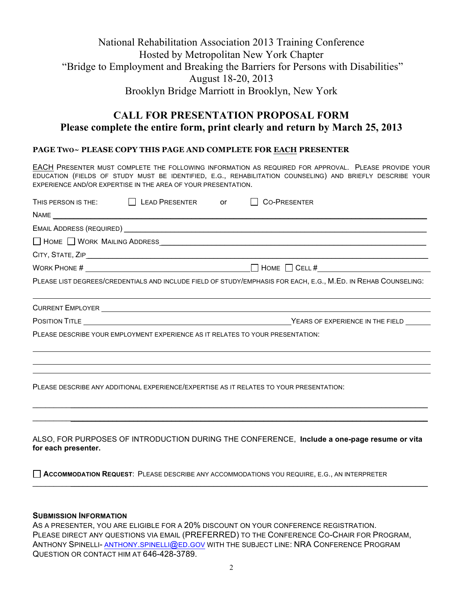# National Rehabilitation Association 2013 Training Conference Hosted by Metropolitan New York Chapter "Bridge to Employment and Breaking the Barriers for Persons with Disabilities" August 18-20, 2013 Brooklyn Bridge Marriott in Brooklyn, New York

# **CALL FOR PRESENTATION PROPOSAL FORM Please complete the entire form, print clearly and return by March 25, 2013**

#### **PAGE TWO~ PLEASE COPY THIS PAGE AND COMPLETE FOR EACH PRESENTER**

EACH PRESENTER MUST COMPLETE THE FOLLOWING INFORMATION AS REQUIRED FOR APPROVAL. PLEASE PROVIDE YOUR EDUCATION (FIELDS OF STUDY MUST BE IDENTIFIED, E.G., REHABILITATION COUNSELING) AND BRIEFLY DESCRIBE YOUR EXPERIENCE AND/OR EXPERTISE IN THE AREA OF YOUR PRESENTATION.

| THIS PERSON IS THE: $\Box$ LEAD PRESENTER or                                   |  | CO-PRESENTER                                                                                                   |
|--------------------------------------------------------------------------------|--|----------------------------------------------------------------------------------------------------------------|
|                                                                                |  |                                                                                                                |
|                                                                                |  |                                                                                                                |
|                                                                                |  | HOME NORK MAILING ADDRESS <b>WARFER</b>                                                                        |
|                                                                                |  |                                                                                                                |
|                                                                                |  | WORK PHONE # $\Box$                                                                                            |
|                                                                                |  | PLEASE LIST DEGREES/CREDENTIALS AND INCLUDE FIELD OF STUDY/EMPHASIS FOR EACH, E.G., M.ED. IN REHAB COUNSELING: |
|                                                                                |  |                                                                                                                |
|                                                                                |  | YEARS OF EXPERIENCE IN THE FIELD                                                                               |
| PLEASE DESCRIBE YOUR EMPLOYMENT EXPERIENCE AS IT RELATES TO YOUR PRESENTATION: |  |                                                                                                                |
|                                                                                |  |                                                                                                                |
|                                                                                |  | PLEASE DESCRIBE ANY ADDITIONAL EXPERIENCE/EXPERTISE AS IT RELATES TO YOUR PRESENTATION:                        |
|                                                                                |  | ALSO, FOR PURPOSES OF INTRODUCTION DURING THE CONFERENCE, Include a one-page resume or vita                    |

**for each presenter.**

 $\mathcal{L}_\mathcal{L} = \{ \mathcal{L}_\mathcal{L} = \{ \mathcal{L}_\mathcal{L} = \{ \mathcal{L}_\mathcal{L} = \{ \mathcal{L}_\mathcal{L} = \{ \mathcal{L}_\mathcal{L} = \{ \mathcal{L}_\mathcal{L} = \{ \mathcal{L}_\mathcal{L} = \{ \mathcal{L}_\mathcal{L} = \{ \mathcal{L}_\mathcal{L} = \{ \mathcal{L}_\mathcal{L} = \{ \mathcal{L}_\mathcal{L} = \{ \mathcal{L}_\mathcal{L} = \{ \mathcal{L}_\mathcal{L} = \{ \mathcal{L}_\mathcal{$ 

**ACCOMMODATION REQUEST**: PLEASE DESCRIBE ANY ACCOMMODATIONS YOU REQUIRE, E.G., AN INTERPRETER

#### **SUBMISSION INFORMATION**

AS A PRESENTER, YOU ARE ELIGIBLE FOR A 20% DISCOUNT ON YOUR CONFERENCE REGISTRATION. PLEASE DIRECT ANY QUESTIONS VIA EMAIL (PREFERRED) TO THE CONFERENCE CO-CHAIR FOR PROGRAM, ANTHONY SPINELLI- ANTHONY.SPINELLI@ED.GOV WITH THE SUBJECT LINE: NRA CONFERENCE PROGRAM QUESTION OR CONTACT HIM AT 646-428-3789.